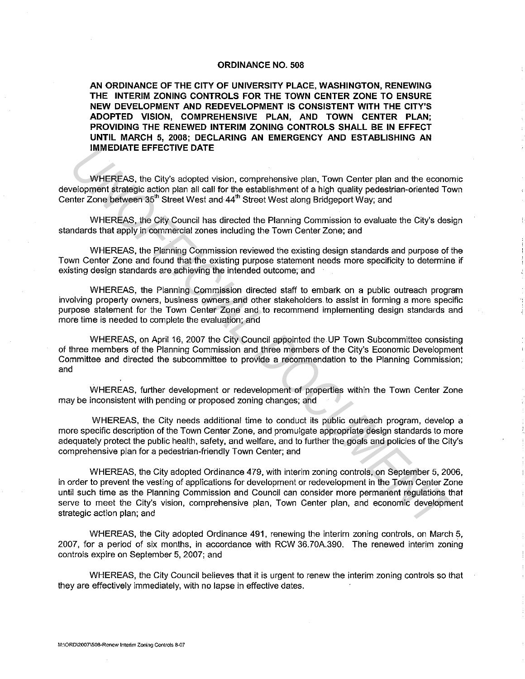## **ORDINANCE NO. 508**

**AN ORDINANCE OF THE CITY OF UNIVERSITY PLACE, WASHINGTON, RENEWING THE INTERIM ZONING CONTROLS FOR THE TOWN CENTER ZONE TO ENSURE NEW DEVELOPMENT AND REDEVELOPMENT IS CONSISTENT WITH THE CITY'S ADOPTED VISION, COMPREHENSIVE PLAN, AND TOWN CENTER PLAN; PROVIDING THE RENEWED INTERIM ZONING CONTROLS SHALL BE IN EFFECT UNTIL MARCH 5, 2008; DECLARING AN EMERGENCY AND ESTABLISHING AN IMMEDIATE EFFECTIVE DATE** 

WHEREAS, the City's adopted vision, comprehensive plan, Town Center plan and the economic development strategic action plan all call for the establishment of a high quality pedestrian-oriented Town Center Zone between 35<sup>th</sup> Street West and 44<sup>th</sup> Street West along Bridgeport Way; and

WHEREAS, the City Council has directed the Planning Commission to evaluate the City's design standards that apply in commercial zones including the Town Center Zone; and

WHEREAS, the Planning Commission reviewed the existing design standards and purpose of the Town Center Zone and found that the existing purpose statement needs more specificity to determine if existing design standards are achieving the intended outcome; and

WHEREAS, the Planning Commission directed staff to embark on a public outreach program involving property owners, business owners and other stakeholders to assist in forming a more specific purpose statement for the Town Center Zone and to recommend implementing design standards and more time is needed to complete the evaluation; and

WHEREAS, on April 16, 2007 the City Council appointed the UP Town Subcommittee consisting of three members of the Planning Commission and three members of the City's Economic Development Committee and directed the subcommittee to provide a recommendation to the Planning Commission; and

WHEREAS, further development or redevelopment of properties within the Town Center Zone may be inconsistent with pending or proposed zoning changes; and

WHEREAS, the City needs additional time to conduct its public outreach program, develop a more specific description of the Town Center Zone, and promulgate appropriate design standards to more adequately protect the public health, safety, and welfare, and to further the goals and policies of the City's comprehensive plan for a pedestrian-friendly Town Center; and

WHEREAS, the City adopted Ordinance 479, with interim zoning controls, on September 5, 2006, in order to prevent the vesting of applications for development or redevelopment in the Town Center Zone until such time as the Planning Commission and Council can consider more permanent regulations that serve to meet the City's vision, comprehensive plan, Town Center plan, and economic development strategic action plan; and **IMMEDIATE EFFECTIVE DATE**<br>
WHEREAS, the City's adopted vision, comprehensive plan. Town Center plan and the economic<br>
strached cation plan all call for the establishment of a high quality podestican-oriented Tow<br>
nutrice

WHEREAS, the City adopted Ordinance 491, renewing the interim zoning controls, on March 5, 2007, for a period of six months, in accordance with RCW 36.70A.390. The renewed interim zoning controls expire on September 5, 2007; and

WHEREAS, the City Council believes that it is urgent to renew the interim zoning controls so that they are effectively immediately, with no lapse in effective dates.